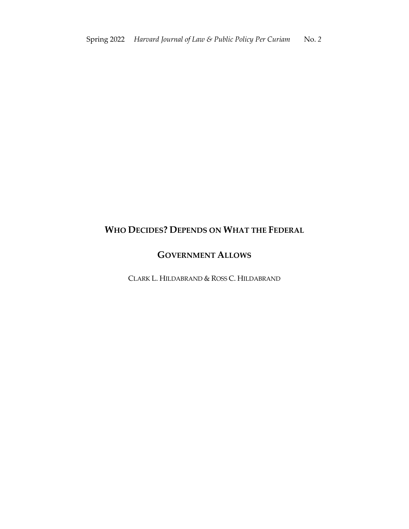# **WHO DECIDES? DEPENDS ON WHAT THE FEDERAL**

## **GOVERNMENT ALLOWS**

CLARK L. HILDABRAND & ROSS C. HILDABRAND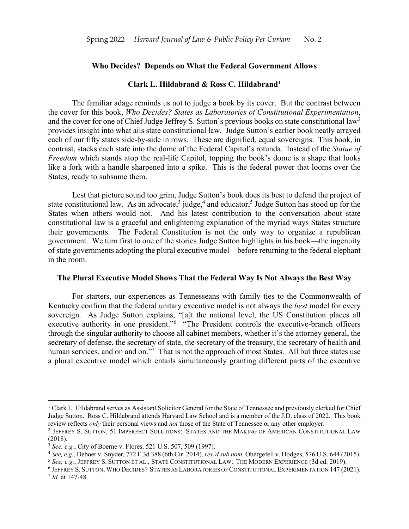#### **Who Decides? Depends on What the Federal Government Allows**

### **Clark L. Hildabrand & Ross C. Hildabrand1**

The familiar adage reminds us not to judge a book by its cover. But the contrast between the cover for this book, *Who Decides? States as Laboratories of Constitutional Experimentation*, and the cover for one of Chief Judge Jeffrey S. Sutton's previous books on state constitutional law2 provides insight into what ails state constitutional law. Judge Sutton's earlier book neatly arrayed each of our fifty states side-by-side in rows. These are dignified, equal sovereigns. This book, in contrast, stacks each state into the dome of the Federal Capitol's rotunda. Instead of the *Statue of Freedom* which stands atop the real-life Capitol, topping the book's dome is a shape that looks like a fork with a handle sharpened into a spike. This is the federal power that looms over the States, ready to subsume them.

Lest that picture sound too grim, Judge Sutton's book does its best to defend the project of state constitutional law. As an advocate,<sup>3</sup> judge,<sup>4</sup> and educator,<sup>5</sup> Judge Sutton has stood up for the States when others would not. And his latest contribution to the conversation about state constitutional law is a graceful and enlightening explanation of the myriad ways States structure their governments. The Federal Constitution is not the only way to organize a republican government. We turn first to one of the stories Judge Sutton highlights in his book—the ingenuity of state governments adopting the plural executive model—before returning to the federal elephant in the room.

#### **The Plural Executive Model Shows That the Federal Way Is Not Always the Best Way**

For starters, our experiences as Tennesseans with family ties to the Commonwealth of Kentucky confirm that the federal unitary executive model is not always the *best* model for every sovereign. As Judge Sutton explains, "[a]t the national level, the US Constitution places all executive authority in one president."<sup>6</sup> "The President controls the executive-branch officers through the singular authority to choose all cabinet members, whether it's the attorney general, the secretary of defense, the secretary of state, the secretary of the treasury, the secretary of health and human services, and on and on."<sup>7</sup> That is not the approach of most States. All but three states use a plural executive model which entails simultaneously granting different parts of the executive

<sup>&</sup>lt;sup>1</sup> Clark L. Hildabrand serves as Assistant Solicitor General for the State of Tennessee and previously clerked for Chief Judge Sutton. Ross C. Hildabrand attends Harvard Law School and is a member of the J.D. class of 2022. This book review reflects *only* their personal views and *not* those of the State of Tennessee or any other employer.

<sup>2</sup> JEFFREY S. SUTTON, 51 IMPERFECT SOLUTIONS: STATES AND THE MAKING OF AMERICAN CONSTITUTIONAL LAW (2018).

<sup>3</sup> *See, e.g.*, City of Boerne v. Flores, 521 U.S. 507, 509 (1997).

<sup>4</sup> *See, e.g.*, Deboer v. Snyder, 772 F.3d 388 (6th Cir. 2014), *rev'd sub nom.* Obergefell v. Hodges, 576 U.S. 644 (2015).

<sup>5</sup> *See, e.g.*, JEFFREY S. SUTTON ET AL., STATE CONSTITUTIONAL LAW: THE MODERN EXPERIENCE (3d ed. 2019).

<sup>6</sup> JEFFREY S. SUTTON, WHO DECIDES? STATES AS LABORATORIES OF CONSTITUTIONAL EXPERIMENTATION 147 (2021).

<sup>7</sup> *Id.* at 147-48.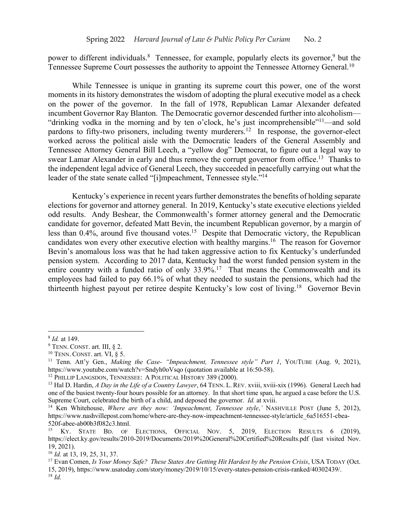power to different individuals.<sup>8</sup> Tennessee, for example, popularly elects its governor,<sup>9</sup> but the Tennessee Supreme Court possesses the authority to appoint the Tennessee Attorney General.<sup>10</sup>

While Tennessee is unique in granting its supreme court this power, one of the worst moments in its history demonstrates the wisdom of adopting the plural executive model as a check on the power of the governor. In the fall of 1978, Republican Lamar Alexander defeated incumbent Governor Ray Blanton. The Democratic governor descended further into alcoholism— "drinking vodka in the morning and by ten o'clock, he's just incomprehensible"11—and sold pardons to fifty-two prisoners, including twenty murderers.<sup>12</sup> In response, the governor-elect worked across the political aisle with the Democratic leaders of the General Assembly and Tennessee Attorney General Bill Leech, a "yellow dog" Democrat, to figure out a legal way to swear Lamar Alexander in early and thus remove the corrupt governor from office.<sup>13</sup> Thanks to the independent legal advice of General Leech, they succeeded in peacefully carrying out what the leader of the state senate called "[i]mpeachment, Tennessee style."<sup>14</sup>

Kentucky's experience in recent years further demonstrates the benefits of holding separate elections for governor and attorney general. In 2019, Kentucky's state executive elections yielded odd results. Andy Beshear, the Commonwealth's former attorney general and the Democratic candidate for governor, defeated Matt Bevin, the incumbent Republican governor, by a margin of less than 0.4%, around five thousand votes.<sup>15</sup> Despite that Democratic victory, the Republican candidates won every other executive election with healthy margins.<sup>16</sup> The reason for Governor Bevin's anomalous loss was that he had taken aggressive action to fix Kentucky's underfunded pension system. According to 2017 data, Kentucky had the worst funded pension system in the entire country with a funded ratio of only  $33.9\%$ .<sup>17</sup> That means the Commonwealth and its employees had failed to pay 66.1% of what they needed to sustain the pensions, which had the thirteenth highest payout per retiree despite Kentucky's low cost of living.<sup>18</sup> Governor Bevin

<sup>8</sup> *Id.* at 149.

 $9$  TENN. CONST. art. III,  $82$ .

<sup>10</sup> TENN. CONST. art. VI, § 5.

<sup>11</sup> Tenn. Att'y Gen., *Making the Case- "Impeachment, Tennessee style" Part 1*, YOUTUBE (Aug. 9, 2021), https://www.youtube.com/watch?v=Sndyh0oVsqo (quotation available at 16:50-58).

<sup>&</sup>lt;sup>12</sup> PHILLIP LANGSDON, TENNESSEE: A POLITICAL HISTORY 389 (2000).

<sup>13</sup> Hal D. Hardin, *A Day in the Life of a Country Lawyer*, 64 TENN. L. REV. xviii, xviii-xix (1996). General Leech had one of the busiest twenty-four hours possible for an attorney. In that short time span, he argued a case before the U.S. Supreme Court, celebrated the birth of a child, and deposed the governor. *Id.* at xviii.

<sup>14</sup> Ken Whitehouse, *Where are they now: 'Impeachment, Tennessee style*,*'* NASHVILLE POST (June 5, 2012), https://www.nashvillepost.com/home/where-are-they-now-impeachment-tennessee-style/article\_6a516551-cbea-520f-abee-ab00b3f082c3.html.

<sup>&</sup>lt;sup>15</sup> KY. STATE BD. OF ELECTIONS, OFFICIAL NOV. 5, 2019, ELECTION RESULTS 6 (2019), https://elect.ky.gov/results/2010-2019/Documents/2019%20General%20Certified%20Results.pdf (last visited Nov. 19, 2021).

<sup>16</sup> *Id.* at 13, 19, 25, 31, 37.

<sup>17</sup> Evan Comen, *Is Your Money Safe? These States Are Getting Hit Hardest by the Pension Crisis*, USA TODAY (Oct. 15, 2019), https://www.usatoday.com/story/money/2019/10/15/every-states-pension-crisis-ranked/40302439/. <sup>18</sup> *Id.*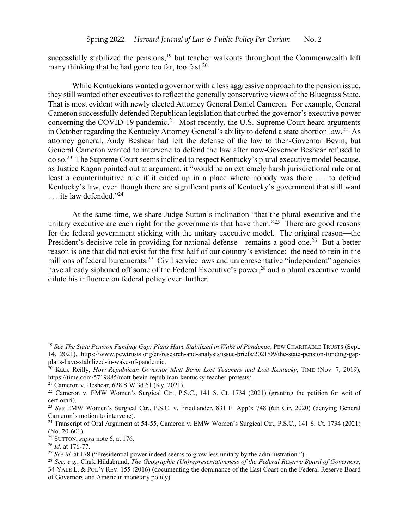successfully stabilized the pensions, $19$  but teacher walkouts throughout the Commonwealth left many thinking that he had gone too far, too fast.<sup>20</sup>

While Kentuckians wanted a governor with a less aggressive approach to the pension issue, they still wanted other executives to reflect the generally conservative views of the Bluegrass State. That is most evident with newly elected Attorney General Daniel Cameron. For example, General Cameron successfully defended Republican legislation that curbed the governor's executive power concerning the COVID-19 pandemic.<sup>21</sup> Most recently, the U.S. Supreme Court heard arguments in October regarding the Kentucky Attorney General's ability to defend a state abortion law. 22 As attorney general, Andy Beshear had left the defense of the law to then-Governor Bevin, but General Cameron wanted to intervene to defend the law after now-Governor Beshear refused to do so.23 The Supreme Court seems inclined to respect Kentucky's plural executive model because, as Justice Kagan pointed out at argument, it "would be an extremely harsh jurisdictional rule or at least a counterintuitive rule if it ended up in a place where nobody was there . . . to defend Kentucky's law, even though there are significant parts of Kentucky's government that still want . . . its law defended."24

At the same time, we share Judge Sutton's inclination "that the plural executive and the unitary executive are each right for the governments that have them."<sup>25</sup> There are good reasons for the federal government sticking with the unitary executive model. The original reason—the President's decisive role in providing for national defense—remains a good one.<sup>26</sup> But a better reason is one that did not exist for the first half of our country's existence: the need to rein in the millions of federal bureaucrats.<sup>27</sup> Civil service laws and unrepresentative "independent" agencies have already siphoned off some of the Federal Executive's power,<sup>28</sup> and a plural executive would dilute his influence on federal policy even further.

<sup>19</sup> *See The State Pension Funding Gap: Plans Have Stabilized in Wake of Pandemic*, PEW CHARITABLE TRUSTS (Sept. 14, 2021), https://www.pewtrusts.org/en/research-and-analysis/issue-briefs/2021/09/the-state-pension-funding-gapplans-have-stabilized-in-wake-of-pandemic.

<sup>&</sup>lt;sup>20</sup> Katie Reilly, *How Republican Governor Matt Bevin Lost Teachers and Lost Kentucky*, TIME (Nov. 7, 2019), https://time.com/5719885/matt-bevin-republican-kentucky-teacher-protests/.

<sup>21</sup> Cameron v. Beshear, 628 S.W.3d 61 (Ky. 2021).

<sup>&</sup>lt;sup>22</sup> Cameron v. EMW Women's Surgical Ctr., P.S.C., 141 S. Ct. 1734 (2021) (granting the petition for writ of certiorari).

<sup>23</sup> *See* EMW Women's Surgical Ctr., P.S.C. v. Friedlander, 831 F. App'x 748 (6th Cir. 2020) (denying General Cameron's motion to intervene).

<sup>&</sup>lt;sup>24</sup> Transcript of Oral Argument at 54-55, Cameron v. EMW Women's Surgical Ctr., P.S.C., 141 S. Ct. 1734 (2021) (No. 20-601).

 $^{25}$  SUTTON, *supra* note 6, at 176.

<sup>26</sup> *Id.* at 176-77.

<sup>&</sup>lt;sup>27</sup> *See id.* at 178 ("Presidential power indeed seems to grow less unitary by the administration.").

<sup>28</sup> *See, e.g.*, Clark Hildabrand, *The Geographic (Un)representativeness of the Federal Reserve Board of Governors*, 34 YALE L. & POL'Y REV. 155 (2016) (documenting the dominance of the East Coast on the Federal Reserve Board of Governors and American monetary policy).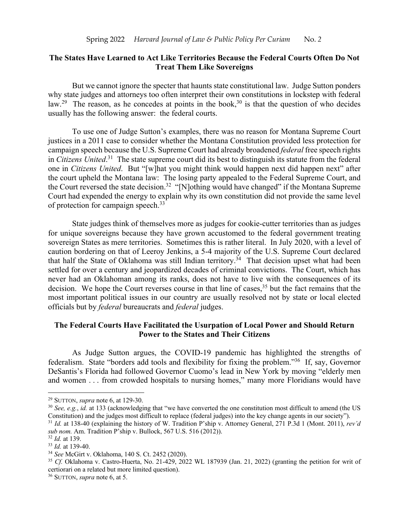### **The States Have Learned to Act Like Territories Because the Federal Courts Often Do Not Treat Them Like Sovereigns**

But we cannot ignore the specter that haunts state constitutional law. Judge Sutton ponders why state judges and attorneys too often interpret their own constitutions in lockstep with federal law.<sup>29</sup> The reason, as he concedes at points in the book,<sup>30</sup> is that the question of who decides usually has the following answer: the federal courts.

To use one of Judge Sutton's examples, there was no reason for Montana Supreme Court justices in a 2011 case to consider whether the Montana Constitution provided less protection for campaign speech because the U.S. Supreme Court had already broadened *federal* free speech rights in *Citizens United*. 31 The state supreme court did its best to distinguish its statute from the federal one in *Citizens United*. But "[w]hat you might think would happen next did happen next" after the court upheld the Montana law: The losing party appealed to the Federal Supreme Court, and the Court reversed the state decision.<sup>32</sup> "[N]othing would have changed" if the Montana Supreme Court had expended the energy to explain why its own constitution did not provide the same level of protection for campaign speech.<sup>33</sup>

State judges think of themselves more as judges for cookie-cutter territories than as judges for unique sovereigns because they have grown accustomed to the federal government treating sovereign States as mere territories. Sometimes this is rather literal. In July 2020, with a level of caution bordering on that of Leeroy Jenkins, a 5-4 majority of the U.S. Supreme Court declared that half the State of Oklahoma was still Indian territory.<sup>34</sup> That decision upset what had been settled for over a century and jeopardized decades of criminal convictions. The Court, which has never had an Oklahoman among its ranks, does not have to live with the consequences of its decision. We hope the Court reverses course in that line of cases,<sup>35</sup> but the fact remains that the most important political issues in our country are usually resolved not by state or local elected officials but by *federal* bureaucrats and *federal* judges.

## **The Federal Courts Have Facilitated the Usurpation of Local Power and Should Return Power to the States and Their Citizens**

As Judge Sutton argues, the COVID-19 pandemic has highlighted the strengths of federalism. State "borders add tools and flexibility for fixing the problem."36 If, say, Governor DeSantis's Florida had followed Governor Cuomo's lead in New York by moving "elderly men and women . . . from crowded hospitals to nursing homes," many more Floridians would have

<sup>29</sup> SUTTON, *supra* note 6, at 129-30.

<sup>30</sup> *See, e.g.*, *id.* at 133 (acknowledging that "we have converted the one constitution most difficult to amend (the US Constitution) and the judges most difficult to replace (federal judges) into the key change agents in our society").

<sup>31</sup> *Id.* at 138-40 (explaining the history of W. Tradition P'ship v. Attorney General, 271 P.3d 1 (Mont. 2011), *rev'd sub nom.* Am. Tradition P'ship v. Bullock, 567 U.S. 516 (2012)).

<sup>32</sup> *Id.* at 139.

<sup>33</sup> *Id.* at 139-40.

<sup>34</sup> *See* McGirt v. Oklahoma, 140 S. Ct. 2452 (2020).

<sup>&</sup>lt;sup>35</sup> *Cf.* Oklahoma v. Castro-Huerta, No. 21-429, 2022 WL 187939 (Jan. 21, 2022) (granting the petition for writ of certiorari on a related but more limited question).

<sup>36</sup> SUTTON, *supra* note 6, at 5.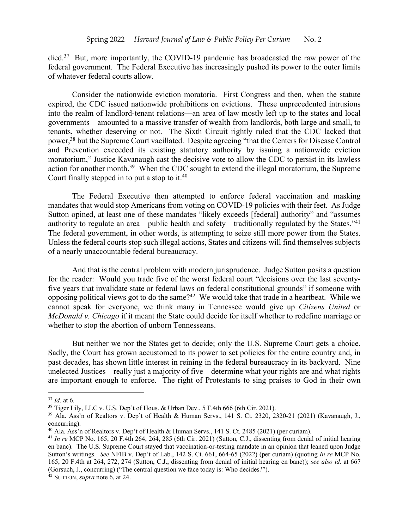died.<sup>37</sup> But, more importantly, the COVID-19 pandemic has broadcasted the raw power of the federal government. The Federal Executive has increasingly pushed its power to the outer limits of whatever federal courts allow.

Consider the nationwide eviction moratoria. First Congress and then, when the statute expired, the CDC issued nationwide prohibitions on evictions. These unprecedented intrusions into the realm of landlord-tenant relations—an area of law mostly left up to the states and local governments—amounted to a massive transfer of wealth from landlords, both large and small, to tenants, whether deserving or not. The Sixth Circuit rightly ruled that the CDC lacked that power,38 but the Supreme Court vacillated. Despite agreeing "that the Centers for Disease Control and Prevention exceeded its existing statutory authority by issuing a nationwide eviction moratorium," Justice Kavanaugh cast the decisive vote to allow the CDC to persist in its lawless action for another month.<sup>39</sup> When the CDC sought to extend the illegal moratorium, the Supreme Court finally stepped in to put a stop to it.<sup>40</sup>

The Federal Executive then attempted to enforce federal vaccination and masking mandates that would stop Americans from voting on COVID-19 policies with their feet. As Judge Sutton opined, at least one of these mandates "likely exceeds [federal] authority" and "assumes authority to regulate an area—public health and safety—traditionally regulated by the States."41 The federal government, in other words, is attempting to seize still more power from the States. Unless the federal courts stop such illegal actions, States and citizens will find themselves subjects of a nearly unaccountable federal bureaucracy.

And that is the central problem with modern jurisprudence. Judge Sutton posits a question for the reader: Would you trade five of the worst federal court "decisions over the last seventyfive years that invalidate state or federal laws on federal constitutional grounds" if someone with opposing political views got to do the same?42 We would take that trade in a heartbeat. While we cannot speak for everyone, we think many in Tennessee would give up *Citizens United* or *McDonald v. Chicago* if it meant the State could decide for itself whether to redefine marriage or whether to stop the abortion of unborn Tennesseans.

But neither we nor the States get to decide; only the U.S. Supreme Court gets a choice. Sadly, the Court has grown accustomed to its power to set policies for the entire country and, in past decades, has shown little interest in reining in the federal bureaucracy in its backyard. Nine unelected Justices—really just a majority of five—determine what your rights are and what rights are important enough to enforce. The right of Protestants to sing praises to God in their own

<sup>37</sup> *Id.* at 6.

<sup>38</sup> Tiger Lily, LLC v. U.S. Dep't of Hous. & Urban Dev., 5 F.4th 666 (6th Cir. 2021).

<sup>39</sup> Ala. Ass'n of Realtors v. Dep't of Health & Human Servs., 141 S. Ct. 2320, 2320-21 (2021) (Kavanaugh, J., concurring).

<sup>&</sup>lt;sup>40</sup> Ala. Ass'n of Realtors v. Dep't of Health & Human Servs., 141 S. Ct. 2485 (2021) (per curiam).

<sup>41</sup> *In re* MCP No. 165, 20 F.4th 264, 264, 285 (6th Cir. 2021) (Sutton, C.J., dissenting from denial of initial hearing en banc). The U.S. Supreme Court stayed that vaccination-or-testing mandate in an opinion that leaned upon Judge Sutton's writings. *See* NFIB v. Dep't of Lab., 142 S. Ct. 661, 664-65 (2022) (per curiam) (quoting *In re* MCP No. 165, 20 F.4th at 264, 272, 274 (Sutton, C.J., dissenting from denial of initial hearing en banc)); *see also id.* at 667 (Gorsuch, J., concurring) ("The central question we face today is: Who decides?").

<sup>42</sup> SUTTON, *supra* note 6, at 24.